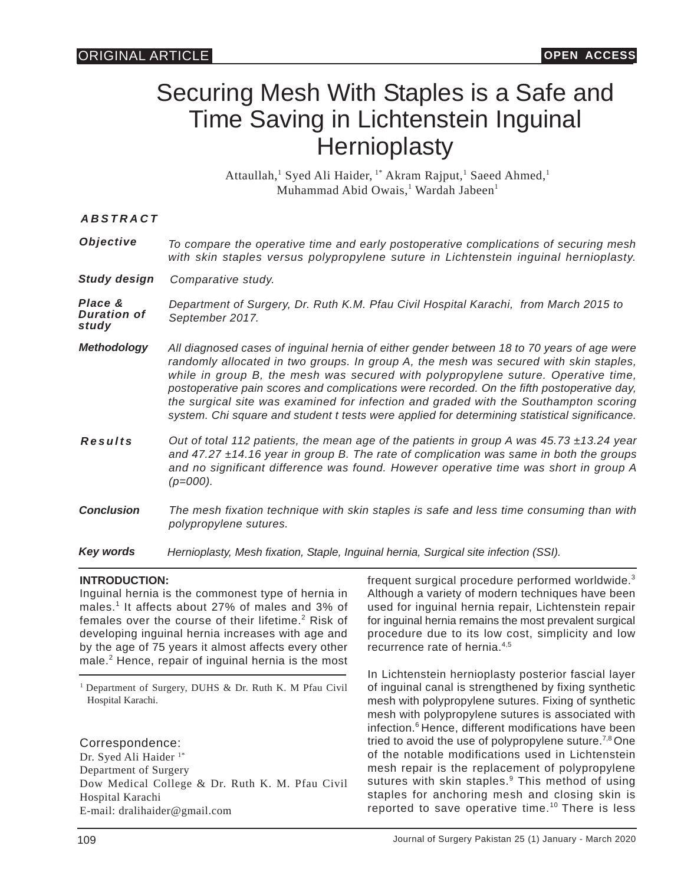# Securing Mesh With Staples is a Safe and Time Saving in Lichtenstein Inguinal **Hernioplasty**

Attaullah,<sup>1</sup> Syed Ali Haider, <sup>1\*</sup> Akram Rajput,<sup>1</sup> Saeed Ahmed,<sup>1</sup> Muhammad Abid Owais,<sup>1</sup> Wardah Jabeen<sup>1</sup>

| <i>ABSTRACT</i> |  |
|-----------------|--|
|                 |  |

| Objective | To compare the operative time and early postoperative complications of securing mesh |
|-----------|--------------------------------------------------------------------------------------|
|           | with skin staples versus polypropylene suture in Lichtenstein inguinal hernioplasty. |

*Study design Comparative study.*

*Place & Duration of study Department of Surgery, Dr. Ruth K.M. Pfau Civil Hospital Karachi, from March 2015 to September 2017.*

- *Methodology All diagnosed cases of inguinal hernia of either gender between 18 to 70 years of age were randomly allocated in two groups. In group A, the mesh was secured with skin staples, while in group B, the mesh was secured with polypropylene suture. Operative time, postoperative pain scores and complications were recorded. On the fifth postoperative day, the surgical site was examined for infection and graded with the Southampton scoring system. Chi square and student t tests were applied for determining statistical significance.*
- *Results Out of total 112 patients, the mean age of the patients in group A was 45.73 ±13.24 year and 47.27 ±14.16 year in group B. The rate of complication was same in both the groups and no significant difference was found. However operative time was short in group A (p=000).*
- *Conclusion The mesh fixation technique with skin staples is safe and less time consuming than with polypropylene sutures.*

*Key words Hernioplasty, Mesh fixation, Staple, Inguinal hernia, Surgical site infection (SSI).*

# **INTRODUCTION:**

Inguinal hernia is the commonest type of hernia in males.<sup>1</sup> It affects about 27% of males and 3% of females over the course of their lifetime.<sup>2</sup> Risk of developing inguinal hernia increases with age and by the age of 75 years it almost affects every other male.<sup>2</sup> Hence, repair of inguinal hernia is the most

<sup>1</sup> Department of Surgery, DUHS & Dr. Ruth K. M Pfau Civil Hospital Karachi.

Correspondence:

Dr. Syed Ali Haider<sup>1\*</sup> Department of Surgery Dow Medical College & Dr. Ruth K. M. Pfau Civil Hospital Karachi E-mail: dralihaider@gmail.com

frequent surgical procedure performed worldwide.<sup>3</sup> Although a variety of modern techniques have been used for inguinal hernia repair, Lichtenstein repair for inguinal hernia remains the most prevalent surgical procedure due to its low cost, simplicity and low recurrence rate of hernia.4,5

In Lichtenstein hernioplasty posterior fascial layer of inguinal canal is strengthened by fixing synthetic mesh with polypropylene sutures. Fixing of synthetic mesh with polypropylene sutures is associated with infection.<sup>6</sup> Hence, different modifications have been tried to avoid the use of polypropylene suture.<sup>7,8</sup> One of the notable modifications used in Lichtenstein mesh repair is the replacement of polypropylene sutures with skin staples.<sup>9</sup> This method of using staples for anchoring mesh and closing skin is reported to save operative time.<sup>10</sup> There is less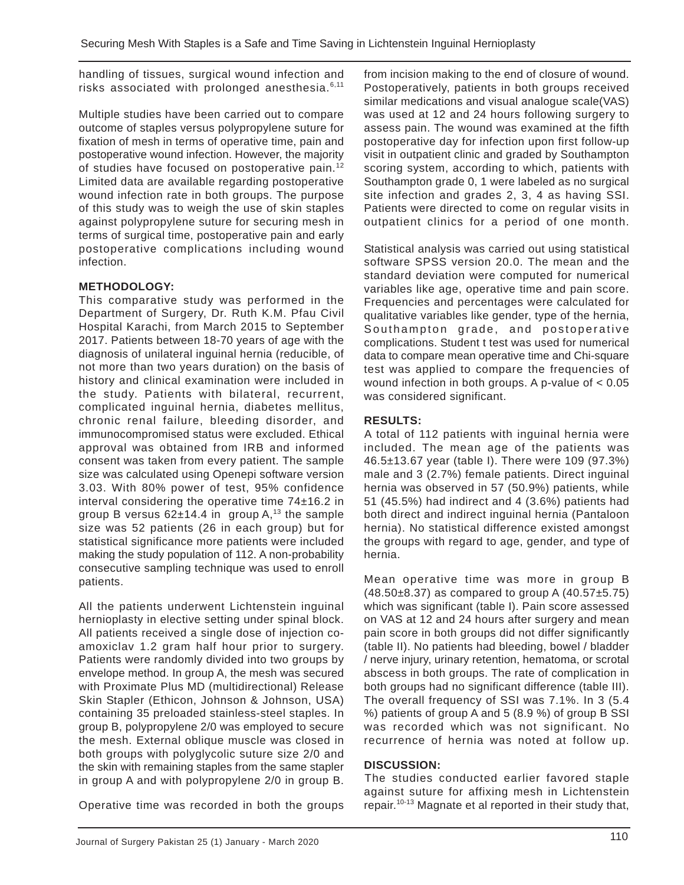handling of tissues, surgical wound infection and risks associated with prolonged anesthesia. $6,11$ 

Multiple studies have been carried out to compare outcome of staples versus polypropylene suture for fixation of mesh in terms of operative time, pain and postoperative wound infection. However, the majority of studies have focused on postoperative pain.<sup>12</sup> Limited data are available regarding postoperative wound infection rate in both groups. The purpose of this study was to weigh the use of skin staples against polypropylene suture for securing mesh in terms of surgical time, postoperative pain and early postoperative complications including wound infection.

### **METHODOLOGY:**

This comparative study was performed in the Department of Surgery, Dr. Ruth K.M. Pfau Civil Hospital Karachi, from March 2015 to September 2017. Patients between 18-70 years of age with the diagnosis of unilateral inguinal hernia (reducible, of not more than two years duration) on the basis of history and clinical examination were included in the study. Patients with bilateral, recurrent, complicated inguinal hernia, diabetes mellitus, chronic renal failure, bleeding disorder, and immunocompromised status were excluded. Ethical approval was obtained from IRB and informed consent was taken from every patient. The sample size was calculated using Openepi software version 3.03. With 80% power of test, 95% confidence interval considering the operative time 74±16.2 in group B versus  $62±14.4$  in group A,<sup>13</sup> the sample size was 52 patients (26 in each group) but for statistical significance more patients were included making the study population of 112. A non-probability consecutive sampling technique was used to enroll patients.

All the patients underwent Lichtenstein inguinal hernioplasty in elective setting under spinal block. All patients received a single dose of injection coamoxiclav 1.2 gram half hour prior to surgery. Patients were randomly divided into two groups by envelope method. In group A, the mesh was secured with Proximate Plus MD (multidirectional) Release Skin Stapler (Ethicon, Johnson & Johnson, USA) containing 35 preloaded stainless-steel staples. In group B, polypropylene 2/0 was employed to secure the mesh. External oblique muscle was closed in both groups with polyglycolic suture size 2/0 and the skin with remaining staples from the same stapler in group A and with polypropylene 2/0 in group B.

Operative time was recorded in both the groups

from incision making to the end of closure of wound. Postoperatively, patients in both groups received similar medications and visual analogue scale(VAS) was used at 12 and 24 hours following surgery to assess pain. The wound was examined at the fifth postoperative day for infection upon first follow-up visit in outpatient clinic and graded by Southampton scoring system, according to which, patients with Southampton grade 0, 1 were labeled as no surgical site infection and grades 2, 3, 4 as having SSI. Patients were directed to come on regular visits in outpatient clinics for a period of one month.

Statistical analysis was carried out using statistical software SPSS version 20.0. The mean and the standard deviation were computed for numerical variables like age, operative time and pain score. Frequencies and percentages were calculated for qualitative variables like gender, type of the hernia, Southampton grade, and postoperative complications. Student t test was used for numerical data to compare mean operative time and Chi-square test was applied to compare the frequencies of wound infection in both groups. A p-value of < 0.05 was considered significant.

### **RESULTS:**

A total of 112 patients with inguinal hernia were included. The mean age of the patients was 46.5±13.67 year (table I). There were 109 (97.3%) male and 3 (2.7%) female patients. Direct inguinal hernia was observed in 57 (50.9%) patients, while 51 (45.5%) had indirect and 4 (3.6%) patients had both direct and indirect inguinal hernia (Pantaloon hernia). No statistical difference existed amongst the groups with regard to age, gender, and type of hernia.

Mean operative time was more in group B  $(48.50\pm8.37)$  as compared to group A  $(40.57\pm5.75)$ which was significant (table I). Pain score assessed on VAS at 12 and 24 hours after surgery and mean pain score in both groups did not differ significantly (table II). No patients had bleeding, bowel / bladder / nerve injury, urinary retention, hematoma, or scrotal abscess in both groups. The rate of complication in both groups had no significant difference (table III). The overall frequency of SSI was 7.1%. In 3 (5.4 %) patients of group A and 5 (8.9 %) of group B SSI was recorded which was not significant. No recurrence of hernia was noted at follow up.

#### **DISCUSSION:**

The studies conducted earlier favored staple against suture for affixing mesh in Lichtenstein repair.10-13 Magnate et al reported in their study that,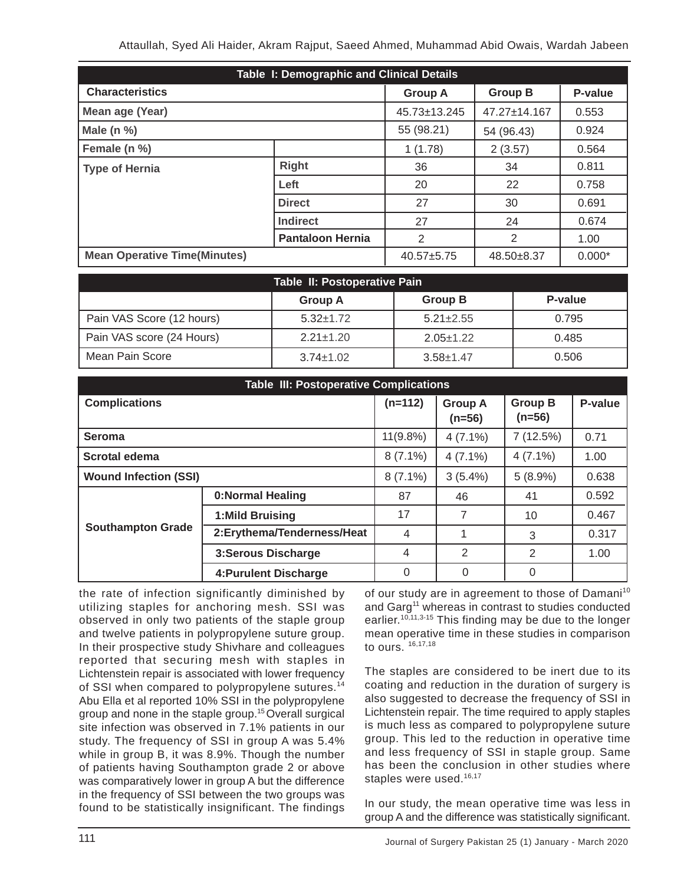| Table I: Demographic and Clinical Details |                         |                |                |          |  |  |
|-------------------------------------------|-------------------------|----------------|----------------|----------|--|--|
| <b>Characteristics</b>                    |                         | <b>Group A</b> | <b>Group B</b> | P-value  |  |  |
| Mean age (Year)                           |                         | 45.73±13.245   | 47.27±14.167   | 0.553    |  |  |
| Male $(n %)$                              |                         | 55 (98.21)     | 54 (96.43)     | 0.924    |  |  |
| Female (n %)                              |                         | 1(1.78)        | 2(3.57)        | 0.564    |  |  |
| <b>Type of Hernia</b>                     | <b>Right</b>            | 36             | 34             | 0.811    |  |  |
|                                           | Left                    | 20             | 22             | 0.758    |  |  |
|                                           | <b>Direct</b>           | 27             | 30             | 0.691    |  |  |
|                                           | <b>Indirect</b>         | 27             | 24             | 0.674    |  |  |
|                                           | <b>Pantaloon Hernia</b> | 2              | 2              | 1.00     |  |  |
| <b>Mean Operative Time(Minutes)</b>       |                         | $40.57 + 5.75$ | 48.50±8.37     | $0.000*$ |  |  |

| Table II: Postoperative Pain |                 |                 |         |  |  |  |  |
|------------------------------|-----------------|-----------------|---------|--|--|--|--|
|                              | <b>Group A</b>  | <b>Group B</b>  | P-value |  |  |  |  |
| Pain VAS Score (12 hours)    | $5.32 \pm 1.72$ | $5.21 \pm 2.55$ | 0.795   |  |  |  |  |
| Pain VAS score (24 Hours)    | $2.21 \pm 1.20$ | $2.05 \pm 1.22$ | 0.485   |  |  |  |  |
| Mean Pain Score              | $3.74 \pm 1.02$ | $3.58 + 1.47$   | 0.506   |  |  |  |  |

| <b>Table III: Postoperative Complications</b> |                             |                |                            |                            |         |
|-----------------------------------------------|-----------------------------|----------------|----------------------------|----------------------------|---------|
| <b>Complications</b>                          |                             | $(n=112)$      | <b>Group A</b><br>$(n=56)$ | <b>Group B</b><br>$(n=56)$ | P-value |
| Seroma                                        |                             | $11(9.8\%)$    | $4(7.1\%)$                 | 7(12.5%)                   | 0.71    |
| Scrotal edema                                 |                             | $8(7.1\%)$     | $4(7.1\%)$                 | $4(7.1\%)$                 | 1.00    |
| <b>Wound Infection (SSI)</b>                  |                             | $8(7.1\%)$     | $3(5.4\%)$                 | $5(8.9\%)$                 | 0.638   |
|                                               | <b>0:Normal Healing</b>     | 87             | 46                         | 41                         | 0.592   |
|                                               | 1:Mild Bruising             | 17             | 7                          | 10                         | 0.467   |
| <b>Southampton Grade</b>                      | 2: Erythema/Tenderness/Heat | $\overline{4}$ |                            | 3                          | 0.317   |
|                                               | <b>3:Serous Discharge</b>   | 4              | 2                          | 2                          | 1.00    |
|                                               | 4: Purulent Discharge       | 0              | 0                          | 0                          |         |

the rate of infection significantly diminished by utilizing staples for anchoring mesh. SSI was observed in only two patients of the staple group and twelve patients in polypropylene suture group. In their prospective study Shivhare and colleagues reported that securing mesh with staples in Lichtenstein repair is associated with lower frequency of SSI when compared to polypropylene sutures.<sup>14</sup> Abu Ella et al reported 10% SSI in the polypropylene group and none in the staple group.<sup>15</sup>Overall surgical site infection was observed in 7.1% patients in our study. The frequency of SSI in group A was 5.4% while in group B, it was 8.9%. Though the number of patients having Southampton grade 2 or above was comparatively lower in group A but the difference in the frequency of SSI between the two groups was found to be statistically insignificant. The findings

of our study are in agreement to those of Damani<sup>10</sup> and Garg<sup>11</sup> whereas in contrast to studies conducted earlier.<sup>10,11,3-15</sup> This finding may be due to the longer mean operative time in these studies in comparison to ours. 16,17,18

The staples are considered to be inert due to its coating and reduction in the duration of surgery is also suggested to decrease the frequency of SSI in Lichtenstein repair. The time required to apply staples is much less as compared to polypropylene suture group. This led to the reduction in operative time and less frequency of SSI in staple group. Same has been the conclusion in other studies where staples were used.<sup>16,17</sup>

In our study, the mean operative time was less in group A and the difference was statistically significant.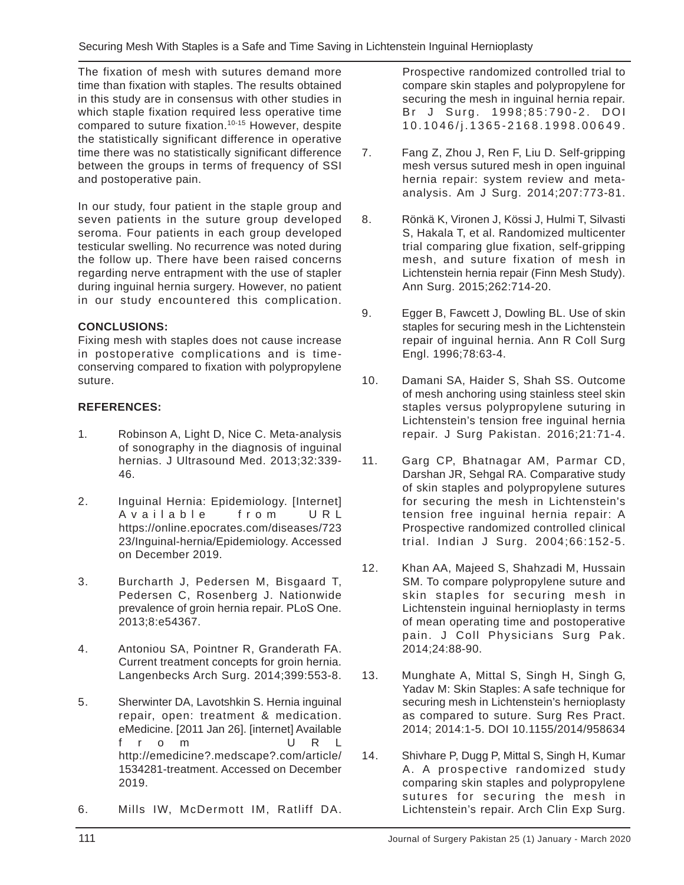The fixation of mesh with sutures demand more time than fixation with staples. The results obtained in this study are in consensus with other studies in which staple fixation required less operative time compared to suture fixation.<sup>10-15</sup> However, despite the statistically significant difference in operative time there was no statistically significant difference between the groups in terms of frequency of SSI and postoperative pain.

In our study, four patient in the staple group and seven patients in the suture group developed seroma. Four patients in each group developed testicular swelling. No recurrence was noted during the follow up. There have been raised concerns regarding nerve entrapment with the use of stapler during inguinal hernia surgery. However, no patient in our study encountered this complication.

# **CONCLUSIONS:**

Fixing mesh with staples does not cause increase in postoperative complications and is timeconserving compared to fixation with polypropylene suture.

### **REFERENCES:**

- 1. Robinson A, Light D, Nice C. Meta-analysis of sonography in the diagnosis of inguinal hernias. J Ultrasound Med. 2013;32:339- 46.
- 2. Inguinal Hernia: Epidemiology. [Internet] Available from URL https://online.epocrates.com/diseases/723 23/Inguinal-hernia/Epidemiology. Accessed on December 2019.
- 3. Burcharth J, Pedersen M, Bisgaard T, Pedersen C, Rosenberg J. Nationwide prevalence of groin hernia repair. PLoS One. 2013;8:e54367.
- 4. Antoniou SA, Pointner R, Granderath FA. Current treatment concepts for groin hernia. Langenbecks Arch Surg. 2014;399:553-8.
- 5. Sherwinter DA, Lavotshkin S. Hernia inguinal repair, open: treatment & medication. eMedicine. [2011 Jan 26]. [internet] Available from URL http://emedicine?.medscape?.com/article/ 1534281-treatment. Accessed on December 2019.
- 6. Mills IW, McDermott IM, Ratliff DA.

Prospective randomized controlled trial to compare skin staples and polypropylene for securing the mesh in inguinal hernia repair. Br J Surg. 1998;85:790-2. DOI 10.1046/j.1365-2168.1998.00649.

- 7. Fang Z, Zhou J, Ren F, Liu D. Self-gripping mesh versus sutured mesh in open inguinal hernia repair: system review and metaanalysis. Am J Surg. 2014;207:773-81.
- 8. Rönkä K, Vironen J, Kössi J, Hulmi T, Silvasti S, Hakala T, et al. Randomized multicenter trial comparing glue fixation, self-gripping mesh, and suture fixation of mesh in Lichtenstein hernia repair (Finn Mesh Study). Ann Surg. 2015;262:714-20.
- 9. Egger B, Fawcett J, Dowling BL. Use of skin staples for securing mesh in the Lichtenstein repair of inguinal hernia. Ann R Coll Surg Engl. 1996;78:63-4.
- 10. Damani SA, Haider S, Shah SS. Outcome of mesh anchoring using stainless steel skin staples versus polypropylene suturing in Lichtenstein's tension free inguinal hernia repair. J Surg Pakistan. 2016;21:71-4.
- 11. Garg CP, Bhatnagar AM, Parmar CD, Darshan JR, Sehgal RA. Comparative study of skin staples and polypropylene sutures for securing the mesh in Lichtenstein's tension free inguinal hernia repair: A Prospective randomized controlled clinical trial. Indian J Surg. 2004;66:152-5.
- 12. Khan AA, Majeed S, Shahzadi M, Hussain SM. To compare polypropylene suture and skin staples for securing mesh in Lichtenstein inguinal hernioplasty in terms of mean operating time and postoperative pain. J Coll Physicians Surg Pak. 2014;24:88-90.
- 13. Munghate A, Mittal S, Singh H, Singh G, Yadav M: Skin Staples: A safe technique for securing mesh in Lichtenstein's hernioplasty as compared to suture. Surg Res Pract. 2014; 2014:1-5. DOI 10.1155/2014/958634
- 14. Shivhare P, Dugg P, Mittal S, Singh H, Kumar A. A prospective randomized study comparing skin staples and polypropylene sutures for securing the mesh in Lichtenstein's repair. Arch Clin Exp Surg.